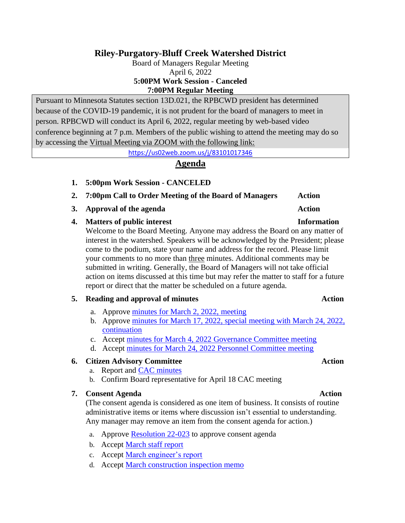# **Riley-Purgatory-Bluff Creek Watershed District**

Board of Managers Regular Meeting April 6, 2022 **5:00PM Work Session - Canceled 7:00PM Regular Meeting**

Pursuant to Minnesota Statutes section 13D.021, the RPBCWD president has determined because of the COVID-19 pandemic, it is not prudent for the board of managers to meet in person. RPBCWD will conduct its April 6, 2022, regular meeting by web-based video conference beginning at 7 p.m. Members of the public wishing to attend the meeting may do so by accessing the Virtual Meeting via ZOOM with the following link:

<https://us02web.zoom.us/j/83101017346>

## **Agenda**

- **1. 5:00pm Work Session - CANCELED**
- **2. 7:00pm Call to Order Meeting of the Board of Managers Action**
- **3. Approval of the agenda Action**

### **4. Matters of public interest Information**

Welcome to the Board Meeting. Anyone may address the Board on any matter of interest in the watershed. Speakers will be acknowledged by the President; please come to the podium, state your name and address for the record. Please limit your comments to no more than three minutes. Additional comments may be submitted in writing. Generally, the Board of Managers will not take official action on items discussed at this time but may refer the matter to staff for a future report or direct that the matter be scheduled on a future agenda.

### **5. Reading and approval of minutes Action**

- a. Approve minutes [for March 2, 2022,](https://rpbcwd.org/download_file/2401/0) meeting
- b. Approve [minutes for March 17, 2022,](https://rpbcwd.org/download_file/2375/0) special meeting with March 24, 2022, [continuation](https://rpbcwd.org/download_file/2375/0)
- c. Accept [minutes for March 4, 2022 Governance Committee meeting](https://rpbcwd.org/download_file/2374/0)
- d. Accept [minutes for March 24, 2022 Personnel Committee meeting](https://rpbcwd.org/download_file/2376/0)

### **6. Citizen Advisory Committee Action**

- a. Report and [CAC minutes](https://rpbcwd.org/application/files/8216/4885/6348/2022-03-21_CAC_Minutes_DRAFT.pdf)
- b. Confirm Board representative for April 18 CAC meeting

### **7.** Consent Agenda **Action**

(The consent agenda is considered as one item of business. It consists of routine administrative items or items where discussion isn't essential to understanding. Any manager may remove an item from the consent agenda for action.)

- a. Approve [Resolution](https://rpbcwd.org/download_file/2377/0) 22-023 to approve consent agenda
- b. Accept [March staff report](https://rpbcwd.org/download_file/2378/0)
- c. Accept [March engineer's report](https://rpbcwd.org/download_file/2379/0)
- d. Accept [March construction inspection memo](https://rpbcwd.org/download_file/2380/0)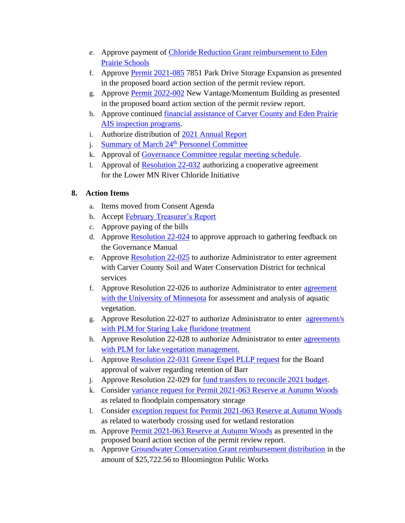- e. Approve payment of [Chloride Reduction Grant reimbursement to Eden](https://rpbcwd.org/download_file/2381/0)  [Prairie Schools](https://rpbcwd.org/download_file/2381/0)
- f. Approve [Permit 2021-085](https://rpbcwd.org/download_file/2382/0) 7851 Park Drive Storage Expansion as presented in the proposed board action section of the permit review report.
- g. Approve [Permit 2022-002](https://rpbcwd.org/download_file/2384/0) New Vantage/Momentum Building as presented in the proposed board action section of the permit review report.
- h. Approve continued [financial assistance of Carver County and Eden Prairie](https://rpbcwd.org/download_file/2383/0)  [AIS inspection programs.](https://rpbcwd.org/download_file/2383/0)
- i. Authorize distribution of [2021 Annual Report](https://rpbcwd.org/download_file/2397/0)
- j. [Summary of March 24](https://rpbcwd.org/download_file/2394/0)<sup>th</sup> Personnel Committee
- k. Approval of Governance [Committee regular meeting schedule.](https://rpbcwd.org/download_file/2405/0)
- l. Approval of [Resolution 22-032](https://rpbcwd.org/download_file/2406/0) authorizing a cooperative agreement for the Lower MN River Chloride Initiative

# **8. Action Items**

- a. Items moved from Consent Agenda
- b. Accept [February Treasurer's Report](https://rpbcwd.org/download_file/2400/0)
- c. Approve paying of the bills
- d. Approve [Resolution 22-024](https://rpbcwd.org/download_file/2385/0) to approve approach to gathering feedback on the Governance Manual
- e. Approve **Resolution 22-025** to authorize Administrator to enter agreement with Carver County Soil and Water Conservation District for technical services
- f. Approve Resolution 22-026 to authorize Administrator to enter [agreement](https://rpbcwd.org/download_file/2387/0) [with the University of Minnesota](https://rpbcwd.org/download_file/2387/0) for assessment and analysis of aquatic vegetation.
- g. Approve Resolution 22-027 to authorize Administrator to enter [agreement/s](https://rpbcwd.org/download_file/2388/0)  [with PLM for Staring Lake fluridone treatment](https://rpbcwd.org/download_file/2388/0)
- h. Approve Resolution 22-028 to authorize Administrator to enter [agreements](https://rpbcwd.org/download_file/2389/0)  with PLM for lake vegetation management.
- i. Approve [Resolution 22-031](https://rpbcwd.org/download_file/2404/0) [Greene Espel PLLP request](https://rpbcwd.org/download_file/2390/0) for the Board approval of waiver regarding retention of Barr
- j. Approve Resolution 22-029 for <u>fund transfers to reconcile 2021 budget</u>.
- k. Consider [variance request for Permit 2021-063 Reserve at Autumn Woods](https://rpbcwd.org/download_file/2392/0) as related to floodplain compensatory storage
- l. Consider [exception request for Permit 2021-063 Reserve at Autumn Woods](https://rpbcwd.org/download_file/2392/0) as related to waterbody crossing used for wetland restoration
- m. Approve [Permit 2021-063 Reserve at Autumn Woods](https://rpbcwd.org/download_file/2392/0) as presented in the proposed board action section of the permit review report.
- n. Approve [Groundwater Conservation Grant reimbursement distribution](https://rpbcwd.org/download_file/2393/0) in the amount of \$25,722.56 to Bloomington Public Works